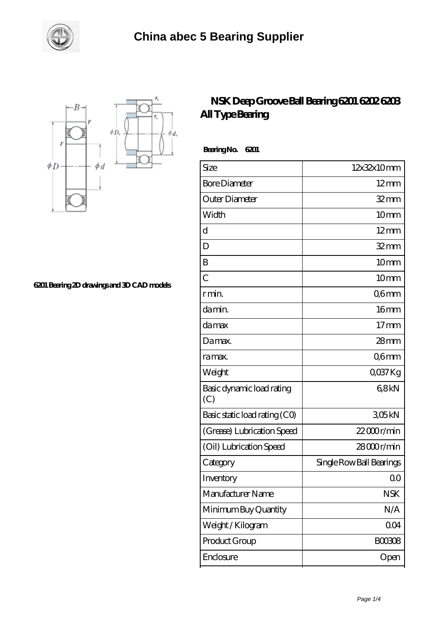



**[6201 Bearing 2D drawings and 3D CAD models](https://m.smokehousewinery.com/pic-563936.html)**

## **[NSK Deep Groove Ball Bearing 6201 6202 6203](https://m.smokehousewinery.com/nsk-6201-bearing/nsk-deep-groove-ball-bearing-6201-6202-6203-all-type-bearing.html) [All Type Bearing](https://m.smokehousewinery.com/nsk-6201-bearing/nsk-deep-groove-ball-bearing-6201-6202-6203-all-type-bearing.html)**

 **Bearing No. 6201**

| Size                             | 12x32x10mm               |
|----------------------------------|--------------------------|
| <b>Bore Diameter</b>             | $12 \text{mm}$           |
| Outer Diameter                   | $32 \text{mm}$           |
| Width                            | 10mm                     |
| d                                | $12 \text{mm}$           |
| D                                | $32$ mm                  |
| B                                | 10mm                     |
| $\overline{C}$                   | 10 <sub>mm</sub>         |
| r min.                           | Q6mm                     |
| da min.                          | 16 <sub>mm</sub>         |
| damax                            | 17 <sub>mm</sub>         |
| Da max.                          | $28 \text{mm}$           |
| ra max.                          | Q6mm                     |
| Weight                           | $Q$ <sup>O</sup> $37$ Kg |
| Basic dynamic load rating<br>(C) | 68kN                     |
| Basic static load rating (CO)    | 305kN                    |
| (Grease) Lubrication Speed       | $22000$ r/min            |
| (Oil) Lubrication Speed          | $28000$ r/min            |
| Category                         | Single Row Ball Bearings |
| Inventory                        | Q0                       |
| Manufacturer Name                | <b>NSK</b>               |
| Minimum Buy Quantity             | N/A                      |
| Weight / Kilogram                | 004                      |
| Product Group                    | <b>BOO3O8</b>            |
| Enclosure                        | Open                     |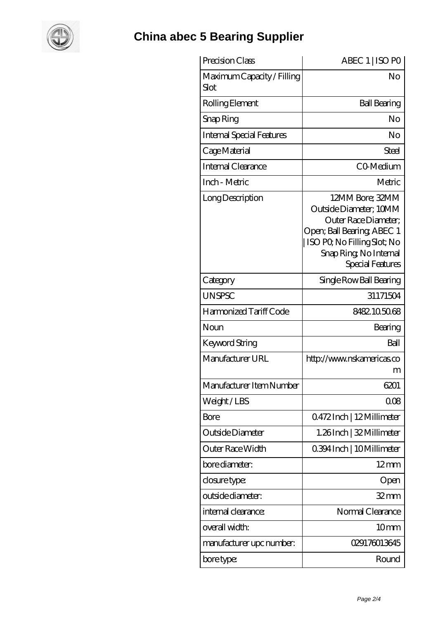

## **[China abec 5 Bearing Supplier](https://m.smokehousewinery.com)**

| Precision Class                    | ABEC 1   ISO PO                                                                                                                                                                     |
|------------------------------------|-------------------------------------------------------------------------------------------------------------------------------------------------------------------------------------|
| Maximum Capacity / Filling<br>Slot | No                                                                                                                                                                                  |
| Rolling Element                    | <b>Ball Bearing</b>                                                                                                                                                                 |
| Snap Ring                          | No                                                                                                                                                                                  |
| <b>Internal Special Features</b>   | No                                                                                                                                                                                  |
| Cage Material                      | Steel                                                                                                                                                                               |
| Internal Clearance                 | CO-Medium                                                                                                                                                                           |
| Inch - Metric                      | Metric                                                                                                                                                                              |
| Long Description                   | 12MM Bore; 32MM<br>Outside Diameter; 10MM<br>Outer Race Diameter;<br>Open; Ball Bearing; ABEC 1<br>ISO PO, No Filling Slot; No<br>Snap Ring, No Internal<br><b>Special Features</b> |
| Category                           | Single Row Ball Bearing                                                                                                                                                             |
| <b>UNSPSC</b>                      | 31171504                                                                                                                                                                            |
| Harmonized Tariff Code             | 8482.105068                                                                                                                                                                         |
| Noun                               | Bearing                                                                                                                                                                             |
| Keyword String                     | Ball                                                                                                                                                                                |
| Manufacturer URL                   | http://www.nskamericas.co<br>m                                                                                                                                                      |
| Manufacturer Item Number           | 6201                                                                                                                                                                                |
| Weight/LBS                         | 008                                                                                                                                                                                 |
| Bore                               | Q472Inch   12Millimeter                                                                                                                                                             |
| Outside Diameter                   | 1.26Inch   32 Millimeter                                                                                                                                                            |
| <b>Outer Race Width</b>            | 0.394 Inch   10 Millimeter                                                                                                                                                          |
| bore diameter:                     | $12 \text{mm}$                                                                                                                                                                      |
| closure type:                      | Open                                                                                                                                                                                |
| outside diameter:                  | $32$ mm                                                                                                                                                                             |
| internal clearance:                | Normal Clearance                                                                                                                                                                    |
| overall width:                     | 10 <sub>mm</sub>                                                                                                                                                                    |
| manufacturer upc number:           | 029176013645                                                                                                                                                                        |
| bore type:                         | Round                                                                                                                                                                               |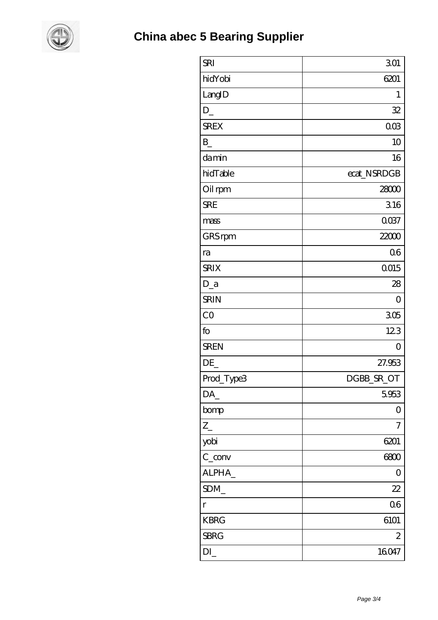

| <b>SRI</b>                     | 301            |
|--------------------------------|----------------|
| hidYobi                        | 6201           |
| LangID                         | 1              |
| $D_{-}$                        | 32             |
| <b>SREX</b>                    | 003            |
| $\mathbf{B}$                   | 10             |
| damin                          | 16             |
| hidTable                       | ecat_NSRDGB    |
| Oil rpm                        | 28000          |
| <b>SRE</b>                     | 316            |
| mass                           | 0037           |
| GRS rpm                        | 22000          |
| ra                             | Q6             |
| <b>SRIX</b>                    | Q015           |
| $D_a$                          | 28             |
| <b>SRIN</b>                    | $\overline{0}$ |
| CO                             | 305            |
| fo                             | 123            |
| <b>SREN</b>                    | $\overline{O}$ |
| DE                             | 27.953         |
| Prod_Type3                     | DGBB_SR_OT     |
| DA_                            | 5.953          |
| bomp                           | 0              |
| $Z_{-}$                        | 7              |
| yobi                           | 6201           |
| $C_{\text{conv}}$              | 6800           |
| ALPHA_                         | $\overline{O}$ |
| SDM                            | 22             |
| $\Gamma$                       | 06             |
| <b>KBRG</b>                    | 6101           |
| <b>SBRG</b>                    | $\mathbf{z}$   |
| $DI$ <sub><math>-</math></sub> | 16047          |